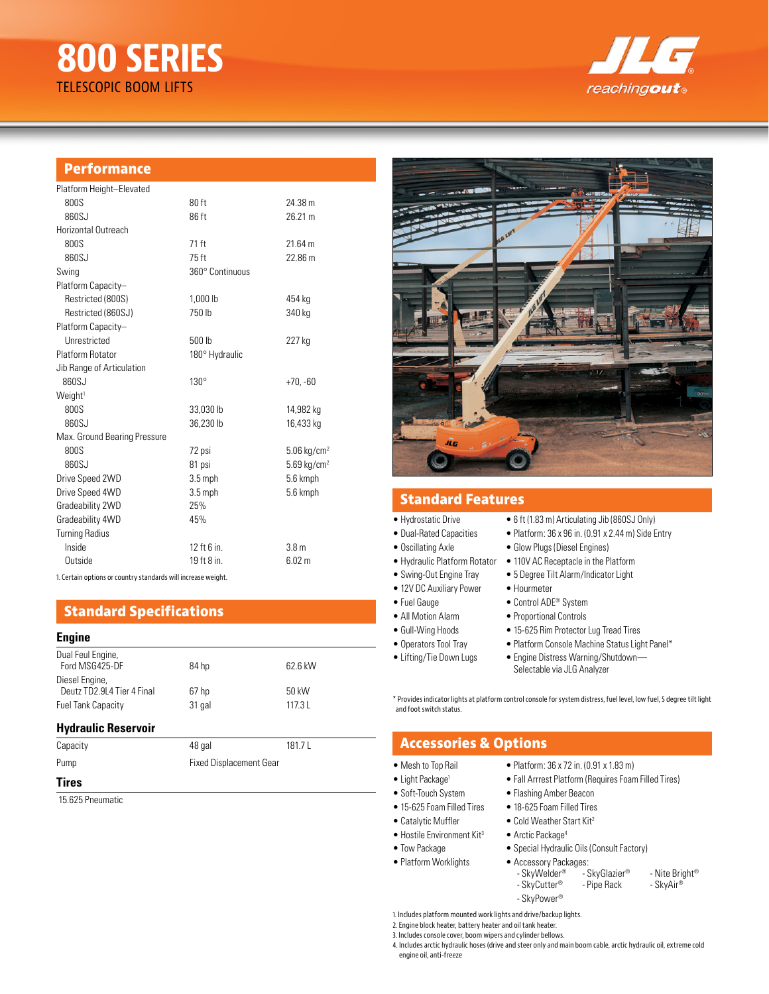# **800 SERIES** TELESCOPIC BOOM LIFTS



### **Performance**

| Platform Height-Elevated     |                 |                           |
|------------------------------|-----------------|---------------------------|
| 800S                         | 80 ft           | 24.38 m                   |
| 860SJ                        | 86 ft           | 26.21 m                   |
| Horizontal Outreach          |                 |                           |
| 800S                         | 71 ft           | 21.64 m                   |
| 860SJ                        | 75 ft           | 22.86 m                   |
| Swing                        | 360° Continuous |                           |
| Platform Capacity-           |                 |                           |
| Restricted (800S)            | 1.000 lb        | 454 kg                    |
| Restricted (860SJ)           | 750 lb          | 340 kg                    |
| Platform Capacity-           |                 |                           |
| Unrestricted                 | 500 lb          | 227 kg                    |
| <b>Platform Rotator</b>      | 180° Hydraulic  |                           |
| Jib Range of Articulation    |                 |                           |
| 860SJ                        | $130^\circ$     | $+70, -60$                |
| Weight <sup>1</sup>          |                 |                           |
| 800S                         | 33,030 lb       | 14,982 kg                 |
| 860SJ                        | 36.230 lb       | 16,433 kg                 |
| Max. Ground Bearing Pressure |                 |                           |
| 800S                         | 72 psi          | $5.06$ kg/cm <sup>2</sup> |
| 860SJ                        | 81 psi          | $5.69$ kg/cm <sup>2</sup> |
| Drive Speed 2WD              | $3.5$ mph       | 5.6 kmph                  |
| Drive Speed 4WD              | $3.5$ mph       | 5.6 kmph                  |
| Gradeability 2WD             | 25%             |                           |
| Gradeability 4WD             | 45%             |                           |
| <b>Turning Radius</b>        |                 |                           |
| Inside                       | 12 ft 6 in.     | 3.8 <sub>m</sub>          |
| Outside                      | 19 ft 8 in.     | 6.02 m                    |
|                              |                 |                           |

1. Certain options or country standards will increase weight.

## **Standard Specifications**

#### **Engine**

| Dual Feul Engine,<br>Ford MSG425-DF          | 84 hp  | 62.6 kW |
|----------------------------------------------|--------|---------|
| Diesel Engine,<br>Deutz TD2.9L4 Tier 4 Final | 67 hp  | 50 kW   |
| <b>Fuel Tank Capacity</b>                    | 31 gal | 117.3L  |

#### **Hydraulic Reservoir**

| Capacity     | 48 gal                         | 181.7L |
|--------------|--------------------------------|--------|
| Pump         | <b>Fixed Displacement Gear</b> |        |
| <b>Tiroc</b> |                                |        |

#### **Tires**

15.625 Pneumatic



## **Standard Features**

- Hydrostatic Drive 6 ft (1.83 m) Articulating Jib (860SJ Only)
- 
- 
- Hydraulic Platform Rotator 110V AC Receptacle in the Platform
- 
- 12V DC Auxiliary Power Hourmeter
- Fuel Gauge Control ADE<sup>®</sup> System
- 
- 
- 
- 

\* Provides indicator lights at platform control console for system distress, fuel level, low fuel, 5 degree tilt light and foot switch status.

## **Accessories & Options**

• Mesh to Top Rail • Platform: 36 x 72 in. (0.91 x 1.83 m)

• Platform Worklights

- Light Package<sup>1</sup> Fall Arrrest Platform (Requires Foam Filled Tires)
- Soft-Touch System Flashing Amber Beacon
- 15-625 Foam Filled Tires 18-625 Foam Filled Tires
- Catalytic Muffler Cold Weather Start Kit<sup>2</sup>
	-
- Hostile Environment Kit<sup>3</sup> Arctic Package<sup>4</sup>
- Tow Package Special Hydraulic Oils (Consult Factory)

| • Accessory Packages: |               |                |
|-----------------------|---------------|----------------|
| - SkyWelder®          | - SkyGlazier® | - Nite Briaht® |
| - SkyCutter®          | - Pipe Rack   | - SkvAir®      |
| - SkyPower®           |               |                |

1. Includes platform mounted work lights and drive/backup lights.

2. Engine block heater, battery heater and oil tank heater.

3. Includes console cover, boom wipers and cylinder bellows.

4. Includes arctic hydraulic hoses (drive and steer only and main boom cable, arctic hydraulic oil, extreme cold engine oil, anti-freeze

| <b>Filipulustatio Dilivo</b> | $\sim$ 0 TUTTOO TITI FILTUORUM IN OND TODOOO OTHY         |
|------------------------------|-----------------------------------------------------------|
| • Dual-Rated Capacities      | • Platform: $36 \times 96$ in. (0.91 x 2.44 m) Side Entry |

- Oscillating Axle Glow Plugs (Diesel Engines)
	-
- Swing-Out Engine Tray 5 Degree Tilt Alarm/Indicator Light
	-
	-
- All Motion Alarm Proportional Controls
- Gull-Wing Hoods 15-625 Rim Protector Lug Tread Tires
- Operators Tool Tray Platform Console Machine Status Light Panel\*
	- Selectable via JLG Analyzer
- Lifting/Tie Down Lugs Engine Distress Warning/Shutdown—
-